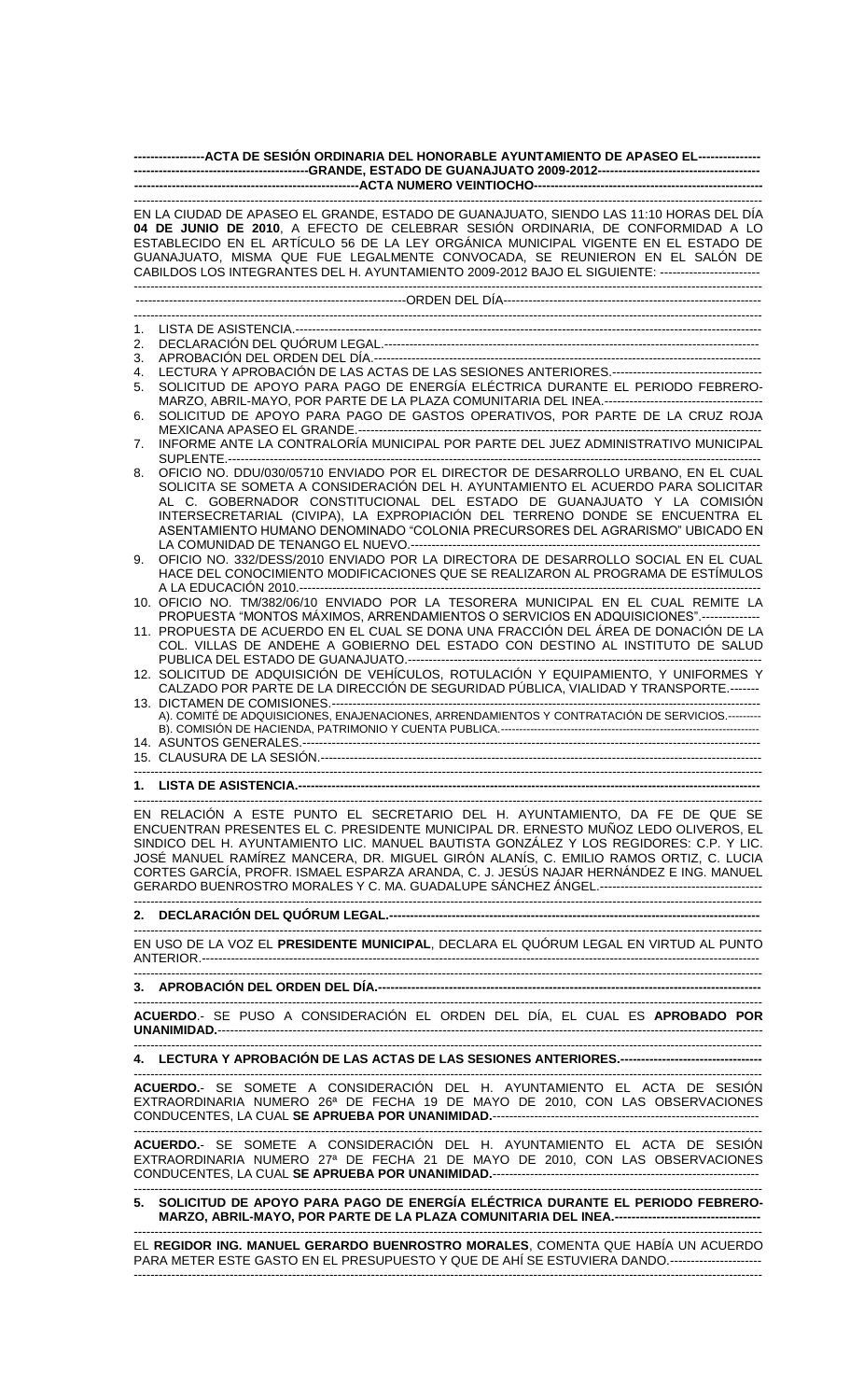| ------------------ACTA DE SESIÓN ORDINARIA DEL HONORABLE AYUNTAMIENTO DE APASEO EL----------------                                                                                                                                                                                                                                                                                                                                                    |                                                                                                                                                                                                                                                                                                                                                                                                                  |  |  |
|-------------------------------------------------------------------------------------------------------------------------------------------------------------------------------------------------------------------------------------------------------------------------------------------------------------------------------------------------------------------------------------------------------------------------------------------------------|------------------------------------------------------------------------------------------------------------------------------------------------------------------------------------------------------------------------------------------------------------------------------------------------------------------------------------------------------------------------------------------------------------------|--|--|
|                                                                                                                                                                                                                                                                                                                                                                                                                                                       |                                                                                                                                                                                                                                                                                                                                                                                                                  |  |  |
| EN LA CIUDAD DE APASEO EL GRANDE, ESTADO DE GUANAJUATO, SIENDO LAS 11:10 HORAS DEL DÍA<br>04 DE JUNIO DE 2010, A EFECTO DE CELEBRAR SESIÓN ORDINARIA, DE CONFORMIDAD A LO<br>ESTABLECIDO EN EL ARTÍCULO 56 DE LA LEY ORGÁNICA MUNICIPAL VIGENTE EN EL ESTADO DE<br>GUANAJUATO, MISMA QUE FUE LEGALMENTE CONVOCADA, SE REUNIERON EN EL SALÓN DE<br>CABILDOS LOS INTEGRANTES DEL H. AYUNTAMIENTO 2009-2012 BAJO EL SIGUIENTE: ------------------------- |                                                                                                                                                                                                                                                                                                                                                                                                                  |  |  |
|                                                                                                                                                                                                                                                                                                                                                                                                                                                       |                                                                                                                                                                                                                                                                                                                                                                                                                  |  |  |
| 1.                                                                                                                                                                                                                                                                                                                                                                                                                                                    |                                                                                                                                                                                                                                                                                                                                                                                                                  |  |  |
| 2.                                                                                                                                                                                                                                                                                                                                                                                                                                                    |                                                                                                                                                                                                                                                                                                                                                                                                                  |  |  |
| 3.                                                                                                                                                                                                                                                                                                                                                                                                                                                    |                                                                                                                                                                                                                                                                                                                                                                                                                  |  |  |
| 4.                                                                                                                                                                                                                                                                                                                                                                                                                                                    | SOLICITUD DE APOYO PARA PAGO DE ENERGÍA ELÉCTRICA DURANTE EL PERIODO FEBRERO-                                                                                                                                                                                                                                                                                                                                    |  |  |
| 5.                                                                                                                                                                                                                                                                                                                                                                                                                                                    |                                                                                                                                                                                                                                                                                                                                                                                                                  |  |  |
| 6.                                                                                                                                                                                                                                                                                                                                                                                                                                                    | SOLICITUD DE APOYO PARA PAGO DE GASTOS OPERATIVOS, POR PARTE DE LA CRUZ ROJA                                                                                                                                                                                                                                                                                                                                     |  |  |
|                                                                                                                                                                                                                                                                                                                                                                                                                                                       | INFORME ANTE LA CONTRALORÍA MUNICIPAL POR PARTE DEL JUEZ ADMINISTRATIVO MUNICIPAL                                                                                                                                                                                                                                                                                                                                |  |  |
| 7.                                                                                                                                                                                                                                                                                                                                                                                                                                                    |                                                                                                                                                                                                                                                                                                                                                                                                                  |  |  |
| 8.                                                                                                                                                                                                                                                                                                                                                                                                                                                    | OFICIO NO. DDU/030/05710 ENVIADO POR EL DIRECTOR DE DESARROLLO URBANO, EN EL CUAL<br>SOLICITA SE SOMETA A CONSIDERACIÓN DEL H. AYUNTAMIENTO EL ACUERDO PARA SOLICITAR<br>AL C. GOBERNADOR CONSTITUCIONAL DEL ESTADO DE GUANAJUATO Y LA COMISIÓN<br>INTERSECRETARIAL (CIVIPA), LA EXPROPIACIÓN DEL TERRENO DONDE SE ENCUENTRA EL<br>ASENTAMIENTO HUMANO DENOMINADO "COLONIA PRECURSORES DEL AGRARISMO" UBICADO EN |  |  |
| 9.                                                                                                                                                                                                                                                                                                                                                                                                                                                    | OFICIO NO. 332/DESS/2010 ENVIADO POR LA DIRECTORA DE DESARROLLO SOCIAL EN EL CUAL<br>HACE DEL CONOCIMIENTO MODIFICACIONES QUE SE REALIZARON AL PROGRAMA DE ESTÍMULOS                                                                                                                                                                                                                                             |  |  |
|                                                                                                                                                                                                                                                                                                                                                                                                                                                       | 10. OFICIO NO. TM/382/06/10 ENVIADO POR LA TESORERA MUNICIPAL EN EL CUAL REMITE LA                                                                                                                                                                                                                                                                                                                               |  |  |
|                                                                                                                                                                                                                                                                                                                                                                                                                                                       | PROPUESTA "MONTOS MÁXIMOS, ARRENDAMIENTOS O SERVICIOS EN ADQUISICIONES".--------------<br>11. PROPUESTA DE ACUERDO EN EL CUAL SE DONA UNA FRACCIÓN DEL ÁREA DE DONACIÓN DE LA<br>COL. VILLAS DE ANDEHE A GOBIERNO DEL ESTADO CON DESTINO AL INSTITUTO DE SALUD                                                                                                                                                   |  |  |
|                                                                                                                                                                                                                                                                                                                                                                                                                                                       | 12. SOLICITUD DE ADQUISICIÓN DE VEHÍCULOS, ROTULACIÓN Y EQUIPAMIENTO, Y UNIFORMES Y<br>CALZADO POR PARTE DE LA DIRECCIÓN DE SEGURIDAD PÚBLICA, VIALIDAD Y TRANSPORTE.-------                                                                                                                                                                                                                                     |  |  |
|                                                                                                                                                                                                                                                                                                                                                                                                                                                       | A). COMITÉ DE ADQUISICIONES, ENAJENACIONES, ARRENDAMIENTOS Y CONTRATACIÓN DE SERVICIOS.---------                                                                                                                                                                                                                                                                                                                 |  |  |
|                                                                                                                                                                                                                                                                                                                                                                                                                                                       |                                                                                                                                                                                                                                                                                                                                                                                                                  |  |  |
| EN RELACIÓN A ESTE PUNTO EL SECRETARIO DEL H. AYUNTAMIENTO, DA FE DE QUE SE<br>ENCUENTRAN PRESENTES EL C. PRESIDENTE MUNICIPAL DR. ERNESTO MUÑOZ LEDO OLIVEROS, EL<br>SINDICO DEL H. AYUNTAMIENTO LIC. MANUEL BAUTISTA GONZÁLEZ Y LOS REGIDORES: C.P. Y LIC.<br>JOSÉ MANUEL RAMÍREZ MANCERA, DR. MIGUEL GIRÓN ALANÍS, C. EMILIO RAMOS ORTIZ, C. LUCIA<br>CORTES GARCÍA, PROFR. ISMAEL ESPARZA ARANDA, C. J. JESÚS NAJAR HERNÁNDEZ E ING. MANUEL       |                                                                                                                                                                                                                                                                                                                                                                                                                  |  |  |
|                                                                                                                                                                                                                                                                                                                                                                                                                                                       |                                                                                                                                                                                                                                                                                                                                                                                                                  |  |  |
|                                                                                                                                                                                                                                                                                                                                                                                                                                                       | EN USO DE LA VOZ EL <b>PRESIDENTE MUNICIPAL</b> , DECLARA EL QUÓRUM LEGAL EN VIRTUD AL PUNTO                                                                                                                                                                                                                                                                                                                     |  |  |
|                                                                                                                                                                                                                                                                                                                                                                                                                                                       |                                                                                                                                                                                                                                                                                                                                                                                                                  |  |  |
|                                                                                                                                                                                                                                                                                                                                                                                                                                                       | ACUERDO.- SE PUSO A CONSIDERACIÓN EL ORDEN DEL DÍA, EL CUAL ES APROBADO POR                                                                                                                                                                                                                                                                                                                                      |  |  |
|                                                                                                                                                                                                                                                                                                                                                                                                                                                       | 4. LECTURA Y APROBACIÓN DE LAS ACTAS DE LAS SESIONES ANTERIORES.----------------------------------                                                                                                                                                                                                                                                                                                               |  |  |
|                                                                                                                                                                                                                                                                                                                                                                                                                                                       | ACUERDO.- SE SOMETE A CONSIDERACIÓN DEL H. AYUNTAMIENTO EL ACTA DE SESIÓN<br>EXTRAORDINARIA NUMERO 26ª DE FECHA 19 DE MAYO DE 2010, CON LAS OBSERVACIONES                                                                                                                                                                                                                                                        |  |  |
|                                                                                                                                                                                                                                                                                                                                                                                                                                                       | ACUERDO.- SE SOMETE A CONSIDERACIÓN DEL H. AYUNTAMIENTO EL ACTA DE SESIÓN<br>EXTRAORDINARIA NUMERO 27ª DE FECHA 21 DE MAYO DE 2010, CON LAS OBSERVACIONES                                                                                                                                                                                                                                                        |  |  |
| 5.                                                                                                                                                                                                                                                                                                                                                                                                                                                    | SOLICITUD DE APOYO PARA PAGO DE ENERGÍA ELÉCTRICA DURANTE EL PERIODO FEBRERO-                                                                                                                                                                                                                                                                                                                                    |  |  |
| EL REGIDOR ING. MANUEL GERARDO BUENROSTRO MORALES, COMENTA QUE HABÍA UN ACUERDO<br>PARA METER ESTE GASTO EN EL PRESUPUESTO Y QUE DE AHÍ SE ESTUVIERA DANDO.-----------------------                                                                                                                                                                                                                                                                    |                                                                                                                                                                                                                                                                                                                                                                                                                  |  |  |

-------------------------------------------------------------------------------------------------------------------------------------------------------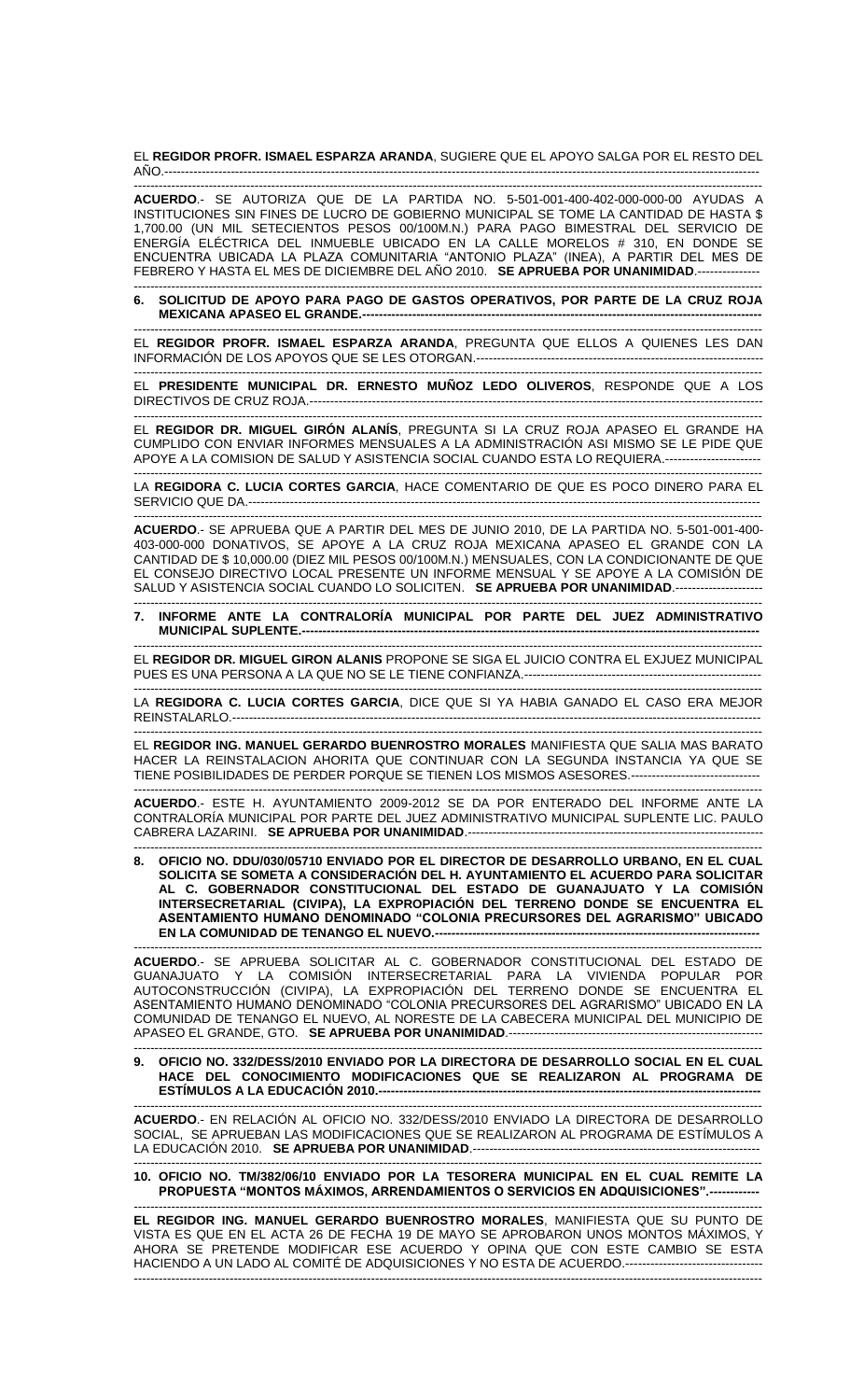EL **REGIDOR PROFR. ISMAEL ESPARZA ARANDA**, SUGIERE QUE EL APOYO SALGA POR EL RESTO DEL AÑO.-----------------------------------------------------------------------------------------------------------------------------------------------

------------------------------------------------------------------------------------------------------------------------------------------------------- **ACUERDO**.- SE AUTORIZA QUE DE LA PARTIDA NO. 5-501-001-400-402-000-000-00 AYUDAS A INSTITUCIONES SIN FINES DE LUCRO DE GOBIERNO MUNICIPAL SE TOME LA CANTIDAD DE HASTA \$ 1,700.00 (UN MIL SETECIENTOS PESOS 00/100M.N.) PARA PAGO BIMESTRAL DEL SERVICIO DE ENERGÍA ELÉCTRICA DEL INMUEBLE UBICADO EN LA CALLE MORELOS # 310, EN DONDE SE ENCUENTRA UBICADA LA PLAZA COMUNITARIA "ANTONIO PLAZA" (INEA), A PARTIR DEL MES DE FEBRERO Y HASTA EL MES DE DICIEMBRE DEL AÑO 2010. **SE APRUEBA POR UNANIMIDAD**.---------------

------------------------------------------------------------------------------------------------------------------------------------------------------- **6. SOLICITUD DE APOYO PARA PAGO DE GASTOS OPERATIVOS, POR PARTE DE LA CRUZ ROJA MEXICANA APASEO EL GRANDE --**

------------------------------------------------------------------------------------------------------------------------------------------------------- EL **REGIDOR PROFR. ISMAEL ESPARZA ARANDA**, PREGUNTA QUE ELLOS A QUIENES LES DAN INFORMACIÓN DE LOS APOYOS QUE SE LES OTORGAN.---------------------------------------------------------------------

------------------------------------------------------------------------------------------------------------------------------------------------------- EL **PRESIDENTE MUNICIPAL DR. ERNESTO MUÑOZ LEDO OLIVEROS**, RESPONDE QUE A LOS DIRECTIVOS DE CRUZ ROJA.-------------------------------------------------------------------------------------------------------------

------------------------------------------------------------------------------------------------------------------------------------------------------- EL **REGIDOR DR. MIGUEL GIRÓN ALANÍS**, PREGUNTA SI LA CRUZ ROJA APASEO EL GRANDE HA CUMPLIDO CON ENVIAR INFORMES MENSUALES A LA ADMINISTRACIÓN ASI MISMO SE LE PIDE QUE APOYE A LA COMISION DE SALUD Y ASISTENCIA SOCIAL CUANDO ESTA LO REQUIERA.-----------------------

------------------------------------------------------------------------------------------------------------------------------------------------------- LA **REGIDORA C. LUCIA CORTES GARCIA**, HACE COMENTARIO DE QUE ES POCO DINERO PARA EL SERVICIO QUE DA.---------------------------------------------------------------------------------------------------------------------------

------------------------------------------------------------------------------------------------------------------------------------------------------- **ACUERDO**.- SE APRUEBA QUE A PARTIR DEL MES DE JUNIO 2010, DE LA PARTIDA NO. 5-501-001-400- 403-000-000 DONATIVOS, SE APOYE A LA CRUZ ROJA MEXICANA APASEO EL GRANDE CON LA CANTIDAD DE \$ 10,000.00 (DIEZ MIL PESOS 00/100M.N.) MENSUALES, CON LA CONDICIONANTE DE QUE EL CONSEJO DIRECTIVO LOCAL PRESENTE UN INFORME MENSUAL Y SE APOYE A LA COMISIÓN DE SALUD Y ASISTENCIA SOCIAL CUANDO LO SOLICITEN. **SE APRUEBA POR UNANIMIDAD**.---------------------

------------------------------------------------------------------------------------------------------------------------------------------------------- **7. INFORME ANTE LA CONTRALORÍA MUNICIPAL POR PARTE DEL JUEZ ADMINISTRATIVO MUNICIPAL SUPLENTE.---**

------------------------------------------------------------------------------------------------------------------------------------------------------- EL **REGIDOR DR. MIGUEL GIRON ALANIS** PROPONE SE SIGA EL JUICIO CONTRA EL EXJUEZ MUNICIPAL PUES ES UNA PERSONA A LA QUE NO SE LE TIENE CONFIANZA.---------------------------------------------------------

------------------------------------------------------------------------------------------------------------------------------------------------------- LA **REGIDORA C. LUCIA CORTES GARCIA**, DICE QUE SI YA HABIA GANADO EL CASO ERA MEJOR REINSTALARLO.-------------------------------------------------------------------------------------------------------------------------------

------------------------------------------------------------------------------------------------------------------------------------------------------- EL **REGIDOR ING. MANUEL GERARDO BUENROSTRO MORALES** MANIFIESTA QUE SALIA MAS BARATO HACER LA REINSTALACION AHORITA QUE CONTINUAR CON LA SEGUNDA INSTANCIA YA QUE SE TIENE POSIBILIDADES DE PERDER PORQUE SE TIENEN LOS MISMOS ASESORES.-------------------------------

------------------------------------------------------------------------------------------------------------------------------------------------------- **ACUERDO**.- ESTE H. AYUNTAMIENTO 2009-2012 SE DA POR ENTERADO DEL INFORME ANTE LA CONTRALORÍA MUNICIPAL POR PARTE DEL JUEZ ADMINISTRATIVO MUNICIPAL SUPLENTE LIC. PAULO CABRERA LAZARINI. **SE APRUEBA POR UNANIMIDAD**.-----------------------------------------------------------------------

------------------------------------------------------------------------------------------------------------------------------------------------------- **8. OFICIO NO. DDU/030/05710 ENVIADO POR EL DIRECTOR DE DESARROLLO URBANO, EN EL CUAL SOLICITA SE SOMETA A CONSIDERACIÓN DEL H. AYUNTAMIENTO EL ACUERDO PARA SOLICITAR AL C. GOBERNADOR CONSTITUCIONAL DEL ESTADO DE GUANAJUATO Y LA COMISIÓN INTERSECRETARIAL (CIVIPA), LA EXPROPIACION DEL TERRENO DONDE SE ENCUENTRA EL ASENTAMIENTO HUMANO DENOMINADO "COLONIA PRECURSORES DEL AGRARISMO" UBICADO EN LA COMUNIDAD DE TENANGO EL NUEVO.------------------------------------------------------------------------------**

------------------------------------------------------------------------------------------------------------------------------------------------------- **ACUERDO**.- SE APRUEBA SOLICITAR AL C. GOBERNADOR CONSTITUCIONAL DEL ESTADO DE GUANAJUATO Y LA COMISIÓN INTERSECRETARIAL PARA LA VIVIENDA POPULAR POR AUTOCONSTRUCCIÓN (CIVIPA), LA EXPROPIACIÓN DEL TERRENO DONDE SE ENCUENTRA EL ASENTAMIENTO HUMANO DENOMINADO "COLONIA PRECURSORES DEL AGRARISMO" UBICADO EN LA COMUNIDAD DE TENANGO EL NUEVO, AL NORESTE DE LA CABECERA MUNICIPAL DEL MUNICIPIO DE APASEO EL GRANDE, GTO. **SE APRUEBA POR UNANIMIDAD**.-------------------------------------------------------------

**9. OFICIO NO. 332/DESS/2010 ENVIADO POR LA DIRECTORA DE DESARROLLO SOCIAL EN EL CUAL HACE DEL CONOCIMIENTO MODIFICACIONES QUE SE REALIZARON AL PROGRAMA DE ESTÍMULOS A LA EDUCACIÓN 2010.-----**

-------------------------------------------------------------------------------------------------------------------------------------------------------

------------------------------------------------------------------------------------------------------------------------------------------------------- **ACUERDO**.- EN RELACIÓN AL OFICIO NO. 332/DESS/2010 ENVIADO LA DIRECTORA DE DESARROLLO SOCIAL, SE APRUEBAN LAS MODIFICACIONES QUE SE REALIZARON AL PROGRAMA DE ESTÍMULOS A LA EDUCACIÓN 2010. **SE APRUEBA POR UNANIMIDAD.**------------------------------

------------------------------------------------------------------------------------------------------------------------------------------------------- **10. OFICIO NO. TM/382/06/10 ENVIADO POR LA TESORERA MUNICIPAL EN EL CUAL REMITE LA PROPUESTA "MONTOS MÁXIMOS, ARRENDAMIENTOS O SERVICIOS EN ADQUISICIONES".------------**

------------------------------------------------------------------------------------------------------------------------------------------------------- **EL REGIDOR ING. MANUEL GERARDO BUENROSTRO MORALES**, MANIFIESTA QUE SU PUNTO DE VISTA ES QUE EN EL ACTA 26 DE FECHA 19 DE MAYO SE APROBARON UNOS MONTOS MÁXIMOS, Y AHORA SE PRETENDE MODIFICAR ESE ACUERDO Y OPINA QUE CON ESTE CAMBIO SE ESTA HACIENDO A UN LADO AL COMITÉ DE ADQUISICIONES Y NO ESTA DE ACUERDO.--------------------------------- -------------------------------------------------------------------------------------------------------------------------------------------------------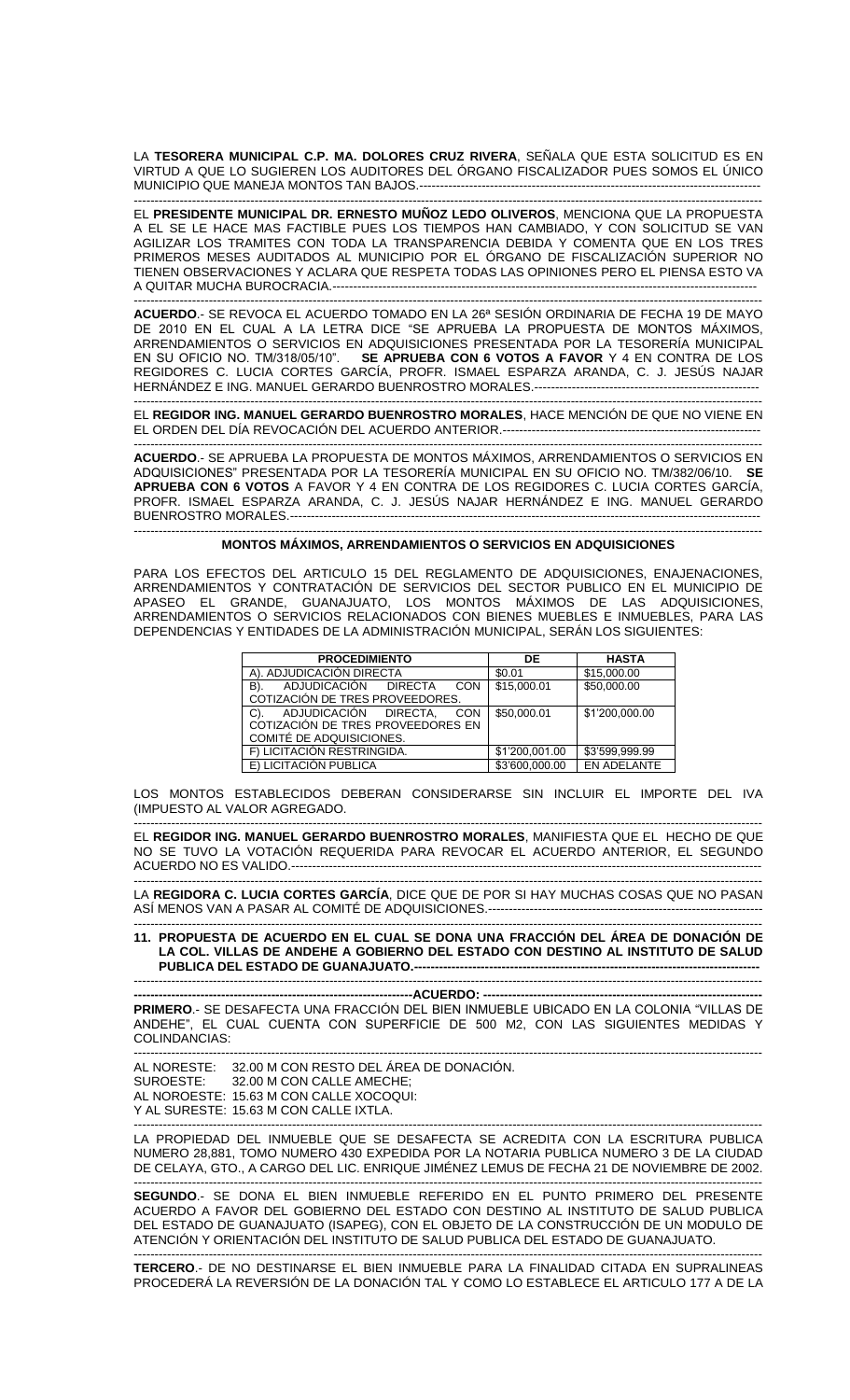LA **TESORERA MUNICIPAL C.P. MA. DOLORES CRUZ RIVERA**, SEÑALA QUE ESTA SOLICITUD ES EN VIRTUD A QUE LO SUGIEREN LOS AUDITORES DEL ÓRGANO FISCALIZADOR PUES SOMOS EL ÚNICO MUNICIPIO QUE MANEJA MONTOS TAN BAJOS.----------------------------------------------------------------------------------

------------------------------------------------------------------------------------------------------------------------------------------------------- EL **PRESIDENTE MUNICIPAL DR. ERNESTO MUÑOZ LEDO OLIVEROS**, MENCIONA QUE LA PROPUESTA A EL SE LE HACE MAS FACTIBLE PUES LOS TIEMPOS HAN CAMBIADO, Y CON SOLICITUD SE VAN AGILIZAR LOS TRAMITES CON TODA LA TRANSPARENCIA DEBIDA Y COMENTA QUE EN LOS TRES PRIMEROS MESES AUDITADOS AL MUNICIPIO POR EL ÓRGANO DE FISCALIZACIÓN SUPERIOR NO TIENEN OBSERVACIONES Y ACLARA QUE RESPETA TODAS LAS OPINIONES PERO EL PIENSA ESTO VA A QUITAR MUCHA BUROCRACIA.------------------------------------------------------------------------------------------------------

------------------------------------------------------------------------------------------------------------------------------------------------------- **ACUERDO**.- SE REVOCA EL ACUERDO TOMADO EN LA 26ª SESIÓN ORDINARIA DE FECHA 19 DE MAYO DE 2010 EN EL CUAL A LA LETRA DICE "SE APRUEBA LA PROPUESTA DE MONTOS MÁXIMOS, ARRENDAMIENTOS O SERVICIOS EN ADQUISICIONES PRESENTADA POR LA TESORERÍA MUNICIPAL EN SU OFICIO NO. TM/318/05/10". **SE APRUEBA CON 6 VOTOS A FAVOR** Y 4 EN CONTRA DE LOS REGIDORES C. LUCIA CORTES GARCÍA, PROFR. ISMAEL ESPARZA ARANDA, C. J. JESÚS NAJAR HERNÁNDEZ E ING. MANUEL GERARDO BUENROSTRO MORALES.--------------

------------------------------------------------------------------------------------------------------------------------------------------------------- EL **REGIDOR ING. MANUEL GERARDO BUENROSTRO MORALES**, HACE MENCIÓN DE QUE NO VIENE EN EL ORDEN DEL DÍA REVOCACIÓN DEL ACUERDO ANTERIOR.--------------------------------------------------------------

------------------------------------------------------------------------------------------------------------------------------------------------------- **ACUERDO**.- SE APRUEBA LA PROPUESTA DE MONTOS MÁXIMOS, ARRENDAMIENTOS O SERVICIOS EN ADQUISICIONES" PRESENTADA POR LA TESORERÍA MUNICIPAL EN SU OFICIO NO. TM/382/06/10. **SE APRUEBA CON 6 VOTOS** A FAVOR Y 4 EN CONTRA DE LOS REGIDORES C. LUCIA CORTES GARCÍA, PROFR. ISMAEL ESPARZA ARANDA, C. J. JESÚS NAJAR HERNÁNDEZ E ING. MANUEL GERARDO BUENROSTRO MORALES.-----------------------------------------------------------------------------------------------------------------

------------------------------------------------------------------------------------------------------------------------------------------------------- **MONTOS MÁXIMOS, ARRENDAMIENTOS O SERVICIOS EN ADQUISICIONES**

PARA LOS EFECTOS DEL ARTICULO 15 DEL REGLAMENTO DE ADQUISICIONES, ENAJENACIONES, ARRENDAMIENTOS Y CONTRATACIÓN DE SERVICIOS DEL SECTOR PUBLICO EN EL MUNICIPIO DE APASEO EL GRANDE, GUANAJUATO, LOS MONTOS MÁXIMOS DE LAS ADQUISICIONES, ARRENDAMIENTOS O SERVICIOS RELACIONADOS CON BIENES MUEBLES E INMUEBLES, PARA LAS DEPENDENCIAS Y ENTIDADES DE LA ADMINISTRACIÓN MUNICIPAL, SERÁN LOS SIGUIENTES:

| <b>PROCEDIMIENTO</b>                | DE             | <b>HASTA</b>       |  |
|-------------------------------------|----------------|--------------------|--|
| A). ADJUDICACIÓN DIRECTA            | \$0.01         | \$15,000.00        |  |
| ADJUDICACIÓN DIRECTA<br>B).<br>CON  | \$15,000.01    | \$50,000.00        |  |
| COTIZACIÓN DE TRES PROVEEDORES.     |                |                    |  |
| ADJUDICACIÓN DIRECTA,<br>C).<br>CON | \$50,000.01    | \$1'200.000.00     |  |
| COTIZACIÓN DE TRES PROVEEDORES EN   |                |                    |  |
| COMITÉ DE ADQUISICIONES.            |                |                    |  |
| F) LICITACIÓN RESTRINGIDA.          | \$1'200.001.00 | \$3'599,999.99     |  |
| E) LICITACIÓN PUBLICA               | \$3'600.000.00 | <b>EN ADELANTE</b> |  |

LOS MONTOS ESTABLECIDOS DEBERAN CONSIDERARSE SIN INCLUIR EL IMPORTE DEL IVA (IMPUESTO AL VALOR AGREGADO.

------------------------------------------------------------------------------------------------------------------------------------------------------- EL **REGIDOR ING. MANUEL GERARDO BUENROSTRO MORALES**, MANIFIESTA QUE EL HECHO DE QUE NO SE TUVO LA VOTACIÓN REQUERIDA PARA REVOCAR EL ACUERDO ANTERIOR, EL SEGUNDO ACUERDO NO ES VALIDO.----------------------------------------------------------------------------------------------------------------- -------------------------------------------------------------------------------------------------------------------------------------------------------

LA **REGIDORA C. LUCIA CORTES GARCÍA**, DICE QUE DE POR SI HAY MUCHAS COSAS QUE NO PASAN ASÍ MENOS VAN A PASAR AL COMITÉ DE ADQUISICIONES.---------------------------------

------------------------------------------------------------------------------------------------------------------------------------------------------- **11. PROPUESTA DE ACUERDO EN EL CUAL SE DONA UNA FRACCIÓN DEL ÁREA DE DONACIÓN DE LA COL. VILLAS DE ANDEHE A GOBIERNO DEL ESTADO CON DESTINO AL INSTITUTO DE SALUD PUBLICA DEL ESTADO DE GUANAJUATO.---**

-------------------------------------------------------------------------------------------------------------------------------------------------------

**-------------------------------------------------------------------ACUERDO: ------------------------------------------------------------------- PRIMERO**.- SE DESAFECTA UNA FRACCIÓN DEL BIEN INMUEBLE UBICADO EN LA COLONIA "VILLAS DE ANDEHE", EL CUAL CUENTA CON SUPERFICIE DE 500 M2, CON LAS SIGUIENTES MEDIDAS Y COLINDANCIAS:

------------------------------------------------------------------------------------------------------------------------------------------------------- AL NORESTE: 32.00 M CON RESTO DEL ÁREA DE DONACIÓN. SUROESTE: 32.00 M CON CALLE AMECHE; AL NOROESTE: 15.63 M CON CALLE XOCOQUI: Y AL SURESTE: 15.63 M CON CALLE IXTLA.

------------------------------------------------------------------------------------------------------------------------------------------------------- LA PROPIEDAD DEL INMUEBLE QUE SE DESAFECTA SE ACREDITA CON LA ESCRITURA PUBLICA NUMERO 28,881, TOMO NUMERO 430 EXPEDIDA POR LA NOTARIA PUBLICA NUMERO 3 DE LA CIUDAD DE CELAYA, GTO., A CARGO DEL LIC. ENRIQUE JIMÉNEZ LEMUS DE FECHA 21 DE NOVIEMBRE DE 2002.

------------------------------------------------------------------------------------------------------------------------------------------------------- **SEGUNDO**.- SE DONA EL BIEN INMUEBLE REFERIDO EN EL PUNTO PRIMERO DEL PRESENTE ACUERDO A FAVOR DEL GOBIERNO DEL ESTADO CON DESTINO AL INSTITUTO DE SALUD PUBLICA DEL ESTADO DE GUANAJUATO (ISAPEG), CON EL OBJETO DE LA CONSTRUCCIÓN DE UN MODULO DE ATENCIÓN Y ORIENTACIÓN DEL INSTITUTO DE SALUD PUBLICA DEL ESTADO DE GUANAJUATO.

------------------------------------------------------------------------------------------------------------------------------------------------------- **TERCERO**.- DE NO DESTINARSE EL BIEN INMUEBLE PARA LA FINALIDAD CITADA EN SUPRALINEAS PROCEDERÁ LA REVERSIÓN DE LA DONACIÓN TAL Y COMO LO ESTABLECE EL ARTICULO 177 A DE LA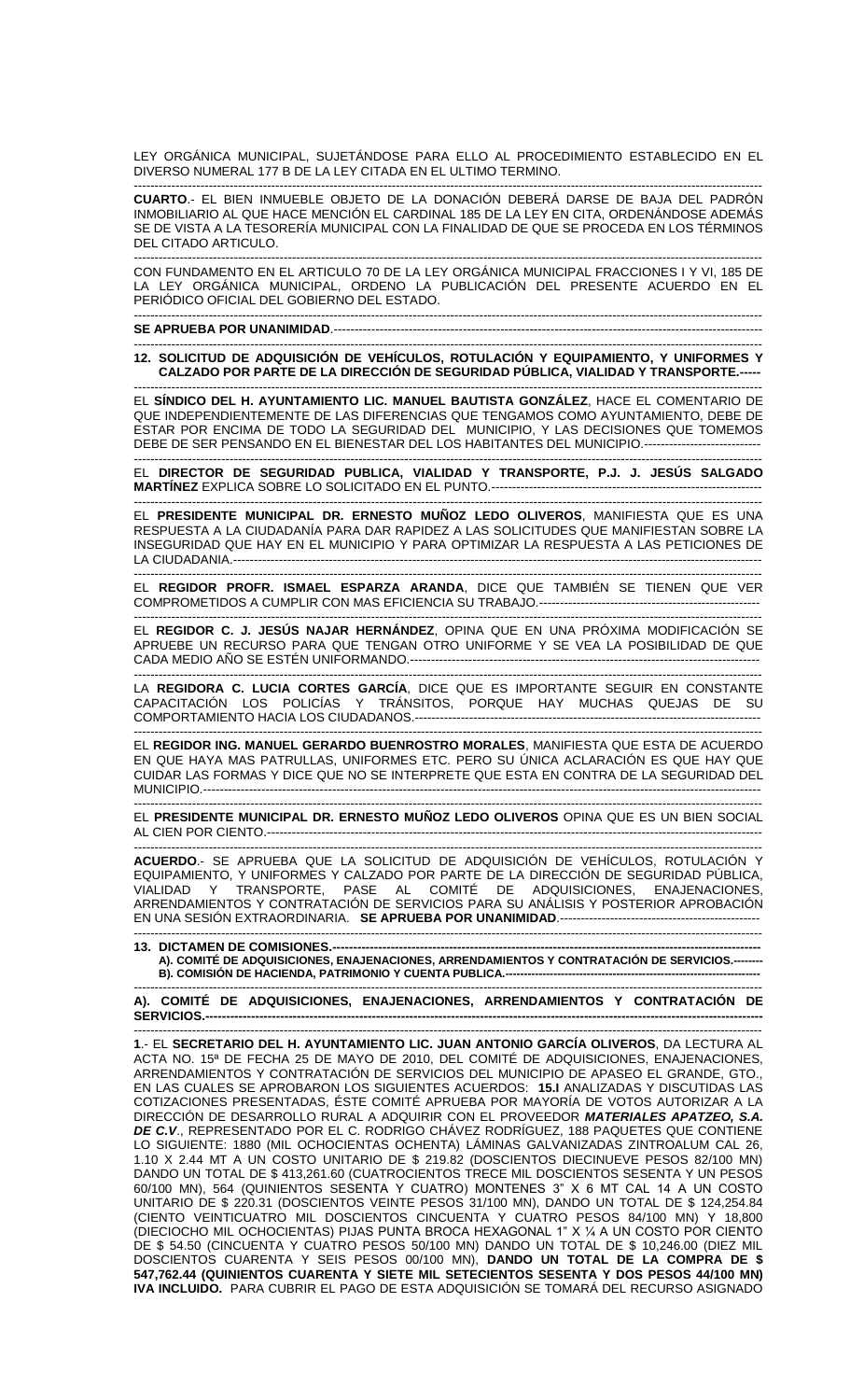LEY ORGÁNICA MUNICIPAL, SUJETÁNDOSE PARA ELLO AL PROCEDIMIENTO ESTABLECIDO EN EL DIVERSO NUMERAL 177 B DE LA LEY CITADA EN EL ULTIMO TERMINO.

------------------------------------------------------------------------------------------------------------------------------------------------------- **CUARTO**.- EL BIEN INMUEBLE OBJETO DE LA DONACIÓN DEBERÁ DARSE DE BAJA DEL PADRÓN INMOBILIARIO AL QUE HACE MENCIÓN EL CARDINAL 185 DE LA LEY EN CITA, ORDENÁNDOSE ADEMÁS SE DE VISTA A LA TESORERÍA MUNICIPAL CON LA FINALIDAD DE QUE SE PROCEDA EN LOS TÉRMINOS DEL CITADO ARTICULO.

------------------------------------------------------------------------------------------------------------------------------------------------------- CON FUNDAMENTO EN EL ARTICULO 70 DE LA LEY ORGÁNICA MUNICIPAL FRACCIONES I Y VI, 185 DE LA LEY ORGÁNICA MUNICIPAL, ORDENO LA PUBLICACIÓN DEL PRESENTE ACUERDO EN EL PERIÓDICO OFICIAL DEL GOBIERNO DEL ESTADO.

------------------------------------------------------------------------------------------------------------------------------------------------------- **SE APRUEBA POR UNANIMIDAD**.-------------------------------------------------------------------------------------------------------

------------------------------------------------------------------------------------------------------------------------------------------------------- **12. SOLICITUD DE ADQUISICIÓN DE VEHÍCULOS, ROTULACIÓN Y EQUIPAMIENTO, Y UNIFORMES Y CALZADO POR PARTE DE LA DIRECCIÓN DE SEGURIDAD PÚBLICA, VIALIDAD Y TRANSPORTE.-----**

------------------------------------------------------------------------------------------------------------------------------------------------------- EL **SÍNDICO DEL H. AYUNTAMIENTO LIC. MANUEL BAUTISTA GONZÁLEZ**, HACE EL COMENTARIO DE QUE INDEPENDIENTEMENTE DE LAS DIFERENCIAS QUE TENGAMOS COMO AYUNTAMIENTO, DEBE DE ESTAR POR ENCIMA DE TODO LA SEGURIDAD DEL MUNICIPIO, Y LAS DECISIONES QUE TOMEMOS DEBE DE SER PENSANDO EN EL BIENESTAR DEL LOS HABITANTES DEL MUNICIPIO.----------------------------

------------------------------------------------------------------------------------------------------------------------------------------------------- EL **DIRECTOR DE SEGURIDAD PUBLICA, VIALIDAD Y TRANSPORTE, P.J. J. JESÚS SALGADO MARTÍNEZ** EXPLICA SOBRE LO SOLICITADO EN EL PUNTO.-----------------------------------------------------------------

-------------------------------------------------------------------------------------------------------------------------------------------------------

EL **PRESIDENTE MUNICIPAL DR. ERNESTO MUÑOZ LEDO OLIVEROS**, MANIFIESTA QUE ES UNA RESPUESTA A LA CIUDADANÍA PARA DAR RAPIDEZ A LAS SOLICITUDES QUE MANIFIESTAN SOBRE LA INSEGURIDAD QUE HAY EN EL MUNICIPIO Y PARA OPTIMIZAR LA RESPUESTA A LAS PETICIONES DE LA CIUDADANIA.-------------------------------------------------------------------------------------------------------------------------------

EL **REGIDOR PROFR. ISMAEL ESPARZA ARANDA**, DICE QUE TAMBIÉN SE TIENEN QUE VER COMPROMETIDOS A CUMPLIR CON MAS EFICIENCIA SU TRABAJO.-----------------------------------------------------

------------------------------------------------------------------------------------------------------------------------------------------------------- EL **REGIDOR C. J. JESÚS NAJAR HERNÁNDEZ**, OPINA QUE EN UNA PRÓXIMA MODIFICACIÓN SE APRUEBE UN RECURSO PARA QUE TENGAN OTRO UNIFORME Y SE VEA LA POSIBILIDAD DE QUE CADA MEDIO AÑO SE ESTÉN UNIFORMANDO.------------------------------------------------------------------------------------

------------------------------------------------------------------------------------------------------------------------------------------------------- LA **REGIDORA C. LUCIA CORTES GARCÍA**, DICE QUE ES IMPORTANTE SEGUIR EN CONSTANTE CAPACITACIÓN LOS POLICÍAS Y TRÁNSITOS, PORQUE HAY MUCHAS QUEJAS DE SU COMPORTAMIENTO HACIA LOS CIUDADANOS.-----------------------------------------------------------------------------------

------------------------------------------------------------------------------------------------------------------------------------------------------- EL **REGIDOR ING. MANUEL GERARDO BUENROSTRO MORALES**, MANIFIESTA QUE ESTA DE ACUERDO EN QUE HAYA MAS PATRULLAS, UNIFORMES ETC. PERO SU ÚNICA ACLARACIÓN ES QUE HAY QUE CUIDAR LAS FORMAS Y DICE QUE NO SE INTERPRETE QUE ESTA EN CONTRA DE LA SEGURIDAD DEL MUNICIPIO.--------------------------------------------------------------------------------------------------------------------------------------

------------------------------------------------------------------------------------------------------------------------------------------------------- EL **PRESIDENTE MUNICIPAL DR. ERNESTO MUÑOZ LEDO OLIVEROS** OPINA QUE ES UN BIEN SOCIAL AL CIEN POR CIENTO.-----------------------------------------------------------------------------------------------------------------------

------------------------------------------------------------------------------------------------------------------------------------------------------- **ACUERDO**.- SE APRUEBA QUE LA SOLICITUD DE ADQUISICIÓN DE VEHÍCULOS, ROTULACIÓN Y EQUIPAMIENTO, Y UNIFORMES Y CALZADO POR PARTE DE LA DIRECCIÓN DE SEGURIDAD PÚBLICA, VIALIDAD Y TRANSPORTE, PASE AL COMITÉ DE ADQUISICIONES, ENAJENACIONES, ARRENDAMIENTOS Y CONTRATACIÓN DE SERVICIOS PARA SU ANÁLISIS Y POSTERIOR APROBACIÓN EN UNA SESIÓN EXTRAORDINARIA. **SE APRUEBA POR UNANIMIDAD**.------------------------------------------------

------------------------------------------------------------------------------------------------------------------------------------------------------- **13. DICTAMEN DE COMISIONES.---A). COMITÉ DE ADQUISICIONES, ENAJENACIONES, ARRENDAMIENTOS Y CONTRATACIÓN DE SERVICIOS.-------- B). COMISIÓN DE HACIENDA, PATRIMONIO Y CUENTA PUBLICA.---------------------------------------------------------------------**

------------------------------------------------------------------------------------------------------------------------------------------------------- **A). COMITÉ DE ADQUISICIONES, ENAJENACIONES, ARRENDAMIENTOS Y CONTRATACIÓN DE SERVICIOS.--------------------------------------------------------------------------------------------------------------------------------------**

------------------------------------------------------------------------------------------------------------------------------------------------------- **1**.- EL **SECRETARIO DEL H. AYUNTAMIENTO LIC. JUAN ANTONIO GARCÍA OLIVEROS**, DA LECTURA AL ACTA NO. 15ª DE FECHA 25 DE MAYO DE 2010, DEL COMITÉ DE ADQUISICIONES, ENAJENACIONES, ARRENDAMIENTOS Y CONTRATACIÓN DE SERVICIOS DEL MUNICIPIO DE APASEO EL GRANDE, GTO., EN LAS CUALES SE APROBARON LOS SIGUIENTES ACUERDOS: **15.I** ANALIZADAS Y DISCUTIDAS LAS COTIZACIONES PRESENTADAS, ÉSTE COMITÉ APRUEBA POR MAYORÍA DE VOTOS AUTORIZAR A LA DIRECCIÓN DE DESARROLLO RURAL A ADQUIRIR CON EL PROVEEDOR *MATERIALES APATZEO, S.A. DE C.V*., REPRESENTADO POR EL C. RODRIGO CHÁVEZ RODRÍGUEZ, 188 PAQUETES QUE CONTIENE LO SIGUIENTE: 1880 (MIL OCHOCIENTAS OCHENTA) LÁMINAS GALVANIZADAS ZINTROALUM CAL 26, 1.10 X 2.44 MT A UN COSTO UNITARIO DE \$ 219.82 (DOSCIENTOS DIECINUEVE PESOS 82/100 MN) DANDO UN TOTAL DE \$ 413,261.60 (CUATROCIENTOS TRECE MIL DOSCIENTOS SESENTA Y UN PESOS 60/100 MN), 564 (QUINIENTOS SESENTA Y CUATRO) MONTENES 3" X 6 MT CAL 14 A UN COSTO UNITARIO DE \$ 220.31 (DOSCIENTOS VEINTE PESOS 31/100 MN), DANDO UN TOTAL DE \$ 124,254.84 (CIENTO VEINTICUATRO MIL DOSCIENTOS CINCUENTA Y CUATRO PESOS 84/100 MN) Y 18,800 (DIECIOCHO MIL OCHOCIENTAS) PIJAS PUNTA BROCA HEXAGONAL 1" X ¼ A UN COSTO POR CIENTO DE \$ 54.50 (CINCUENTA Y CUATRO PESOS 50/100 MN) DANDO UN TOTAL DE \$ 10,246.00 (DIEZ MIL DOSCIENTOS CUARENTA Y SEIS PESOS 00/100 MN), **DANDO UN TOTAL DE LA COMPRA DE \$ 547,762.44 (QUINIENTOS CUARENTA Y SIETE MIL SETECIENTOS SESENTA Y DOS PESOS 44/100 MN) IVA INCLUIDO.** PARA CUBRIR EL PAGO DE ESTA ADQUISICIÓN SE TOMARÁ DEL RECURSO ASIGNADO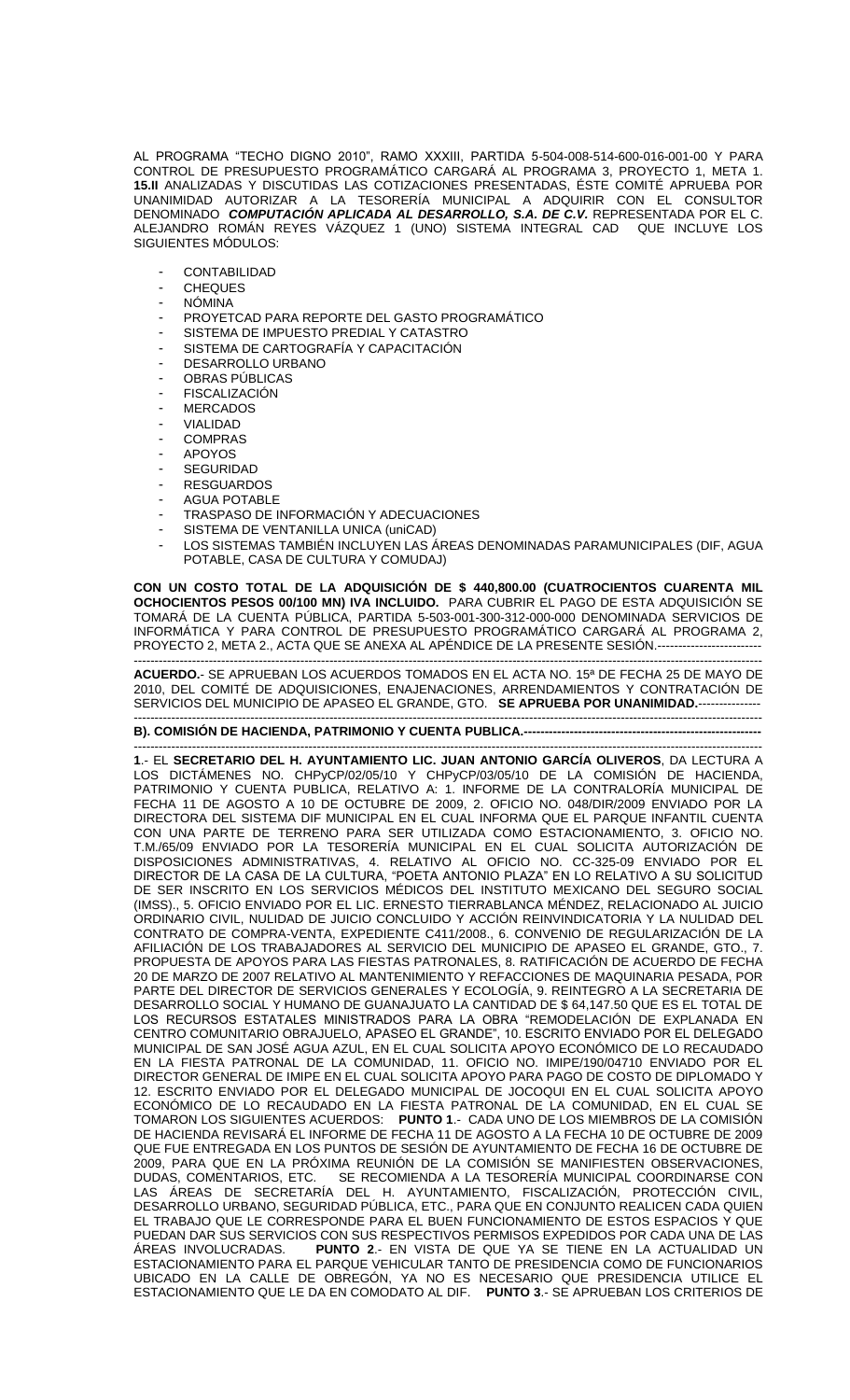AL PROGRAMA "TECHO DIGNO 2010", RAMO XXXIII, PARTIDA 5-504-008-514-600-016-001-00 Y PARA CONTROL DE PRESUPUESTO PROGRAMÁTICO CARGARÁ AL PROGRAMA 3, PROYECTO 1, META 1. **15.II** ANALIZADAS Y DISCUTIDAS LAS COTIZACIONES PRESENTADAS, ÉSTE COMITÉ APRUEBA POR UNANIMIDAD AUTORIZAR A LA TESORERÍA MUNICIPAL A ADQUIRIR CON EL CONSULTOR DENOMINADO *COMPUTACIÓN APLICADA AL DESARROLLO, S.A. DE C.V.* REPRESENTADA POR EL C. ALEJANDRO ROMÁN REYES VÁZQUEZ 1 (UNO) SISTEMA INTEGRAL CAD QUE INCLUYE LOS SIGUIENTES MÓDULOS:

- CONTABILIDAD
- **CHEQUES**
- NÓMINA
- PROYETCAD PARA REPORTE DEL GASTO PROGRAMÁTICO
- SISTEMA DE IMPUESTO PREDIAL Y CATASTRO
- SISTEMA DE CARTOGRAFÍA Y CAPACITACIÓN
- DESARROLLO URBANO
- OBRAS PÚBLICAS
- FISCALIZACIÓN
- **MERCADOS**
- **VIALIDAD**
- COMPRAS
- **APOYOS**
- SEGURIDAD
- **RESGUARDOS**
- AGUA POTABLE
- TRASPASO DE INFORMACIÓN Y ADECUACIONES
- SISTEMA DE VENTANILLA UNICA (uniCAD)
- LOS SISTEMAS TAMBIÉN INCLUYEN LAS ÁREAS DENOMINADAS PARAMUNICIPALES (DIF, AGUA POTABLE, CASA DE CULTURA Y COMUDAJ)

**CON UN COSTO TOTAL DE LA ADQUISICIÓN DE \$ 440,800.00 (CUATROCIENTOS CUARENTA MIL OCHOCIENTOS PESOS 00/100 MN) IVA INCLUIDO.** PARA CUBRIR EL PAGO DE ESTA ADQUISICIÓN SE TOMARÁ DE LA CUENTA PÚBLICA, PARTIDA 5-503-001-300-312-000-000 DENOMINADA SERVICIOS DE INFORMÁTICA Y PARA CONTROL DE PRESUPUESTO PROGRAMÁTICO CARGARÁ AL PROGRAMA 2, PROYECTO 2, META 2., ACTA QUE SE ANEXA AL APÉNDICE DE LA PRESENTE SESIÓN.-------

------------------------------------------------------------------------------------------------------------------------------------------------------- **ACUERDO.**- SE APRUEBAN LOS ACUERDOS TOMADOS EN EL ACTA NO. 15ª DE FECHA 25 DE MAYO DE 2010, DEL COMITÉ DE ADQUISICIONES, ENAJENACIONES, ARRENDAMIENTOS Y CONTRATACIÓN DE SERVICIOS DEL MUNICIPIO DE APASEO EL GRANDE, GTO. **SE APRUEBA POR UNANIMIDAD.**---------------

## ------------------------------------------------------------------------------------------------------------------------------------------------------- **B). COMISIÓN DE HACIENDA, PATRIMONIO Y CUENTA PUBLICA.---**

------------------------------------------------------------------------------------------------------------------------------------------------------- **1**.- EL **SECRETARIO DEL H. AYUNTAMIENTO LIC. JUAN ANTONIO GARCÍA OLIVEROS**, DA LECTURA A LOS DICTAMENES NO. CHPyCP/02/05/10 Y CHPyCP/03/05/10 DE LA COMISION DE HACIENDA, PATRIMONIO Y CUENTA PUBLICA, RELATIVO A: 1. INFORME DE LA CONTRALORÍA MUNICIPAL DE FECHA 11 DE AGOSTO A 10 DE OCTUBRE DE 2009, 2. OFICIO NO. 048/DIR/2009 ENVIADO POR LA DIRECTORA DEL SISTEMA DIF MUNICIPAL EN EL CUAL INFORMA QUE EL PARQUE INFANTIL CUENTA CON UNA PARTE DE TERRENO PARA SER UTILIZADA COMO ESTACIONAMIENTO, 3. OFICIO NO. T.M./65/09 ENVIADO POR LA TESORERÍA MUNICIPAL EN EL CUAL SOLICITA AUTORIZACIÓN DE DISPOSICIONES ADMINISTRATIVAS, 4. RELATIVO AL OFICIO NO. CC-325-09 ENVIADO POR EL DIRECTOR DE LA CASA DE LA CULTURA, "POETA ANTONIO PLAZA" EN LO RELATIVO A SU SOLICITUD DE SER INSCRITO EN LOS SERVICIOS MÉDICOS DEL INSTITUTO MEXICANO DEL SEGURO SOCIAL (IMSS)., 5. OFICIO ENVIADO POR EL LIC. ERNESTO TIERRABLANCA MÉNDEZ, RELACIONADO AL JUICIO ORDINARIO CIVIL, NULIDAD DE JUICIO CONCLUIDO Y ACCIÓN REINVINDICATORIA Y LA NULIDAD DEL CONTRATO DE COMPRA-VENTA, EXPEDIENTE C411/2008., 6. CONVENIO DE REGULARIZACIÓN DE LA AFILIACIÓN DE LOS TRABAJADORES AL SERVICIO DEL MUNICIPIO DE APASEO EL GRANDE, GTO., 7. PROPUESTA DE APOYOS PARA LAS FIESTAS PATRONALES, 8. RATIFICACIÓN DE ACUERDO DE FECHA 20 DE MARZO DE 2007 RELATIVO AL MANTENIMIENTO Y REFACCIONES DE MAQUINARIA PESADA, POR PARTE DEL DIRECTOR DE SERVICIOS GENERALES Y ECOLOGÍA, 9. REINTEGRO A LA SECRETARIA DE DESARROLLO SOCIAL Y HUMANO DE GUANAJUATO LA CANTIDAD DE \$ 64,147.50 QUE ES EL TOTAL DE LOS RECURSOS ESTATALES MINISTRADOS PARA LA OBRA "REMODELACIÓN DE EXPLANADA EN CENTRO COMUNITARIO OBRAJUELO, APASEO EL GRANDE", 10. ESCRITO ENVIADO POR EL DELEGADO MUNICIPAL DE SAN JOSÉ AGUA AZUL, EN EL CUAL SOLICITA APOYO ECONÓMICO DE LO RECAUDADO EN LA FIESTA PATRONAL DE LA COMUNIDAD, 11. OFICIO NO. IMIPE/190/04710 ENVIADO POR EL DIRECTOR GENERAL DE IMIPE EN EL CUAL SOLICITA APOYO PARA PAGO DE COSTO DE DIPLOMADO Y 12. ESCRITO ENVIADO POR EL DELEGADO MUNICIPAL DE JOCOQUI EN EL CUAL SOLICITA APOYO ECONÓMICO DE LO RECAUDADO EN LA FIESTA PATRONAL DE LA COMUNIDAD, EN EL CUAL SE TOMARON LOS SIGUIENTES ACUERDOS: **PUNTO 1**.- CADA UNO DE LOS MIEMBROS DE LA COMISIÓN DE HACIENDA REVISARÁ EL INFORME DE FECHA 11 DE AGOSTO A LA FECHA 10 DE OCTUBRE DE 2009 QUE FUE ENTREGADA EN LOS PUNTOS DE SESIÓN DE AYUNTAMIENTO DE FECHA 16 DE OCTUBRE DE 2009, PARA QUE EN LA PRÓXIMA REUNIÓN DE LA COMISIÓN SE MANIFIESTEN OBSERVACIONES, DUDAS, COMENTARIOS, ETC. SE RECOMIENDA A LA TESORERÍA MUNICIPAL COORDINARSE CON LAS ÁREAS DE SECRETARÍA DEL H. AYUNTAMIENTO, FISCALIZACIÓN, PROTECCIÓN CIVIL, DESARROLLO URBANO, SEGURIDAD PÚBLICA, ETC., PARA QUE EN CONJUNTO REALICEN CADA QUIEN EL TRABAJO QUE LE CORRESPONDE PARA EL BUEN FUNCIONAMIENTO DE ESTOS ESPACIOS Y QUE PUEDAN DAR SUS SERVICIOS CON SUS RESPECTIVOS PERMISOS EXPEDIDOS POR CADA UNA DE LAS ÁREAS INVOLUCRADAS. **PUNTO 2**.- EN VISTA DE QUE YA SE TIENE EN LA ACTUALIDAD UN ESTACIONAMIENTO PARA EL PARQUE VEHICULAR TANTO DE PRESIDENCIA COMO DE FUNCIONARIOS UBICADO EN LA CALLE DE OBREGÓN, YA NO ES NECESARIO QUE PRESIDENCIA UTILICE EL ESTACIONAMIENTO QUE LE DA EN COMODATO AL DIF. **PUNTO 3**.- SE APRUEBAN LOS CRITERIOS DE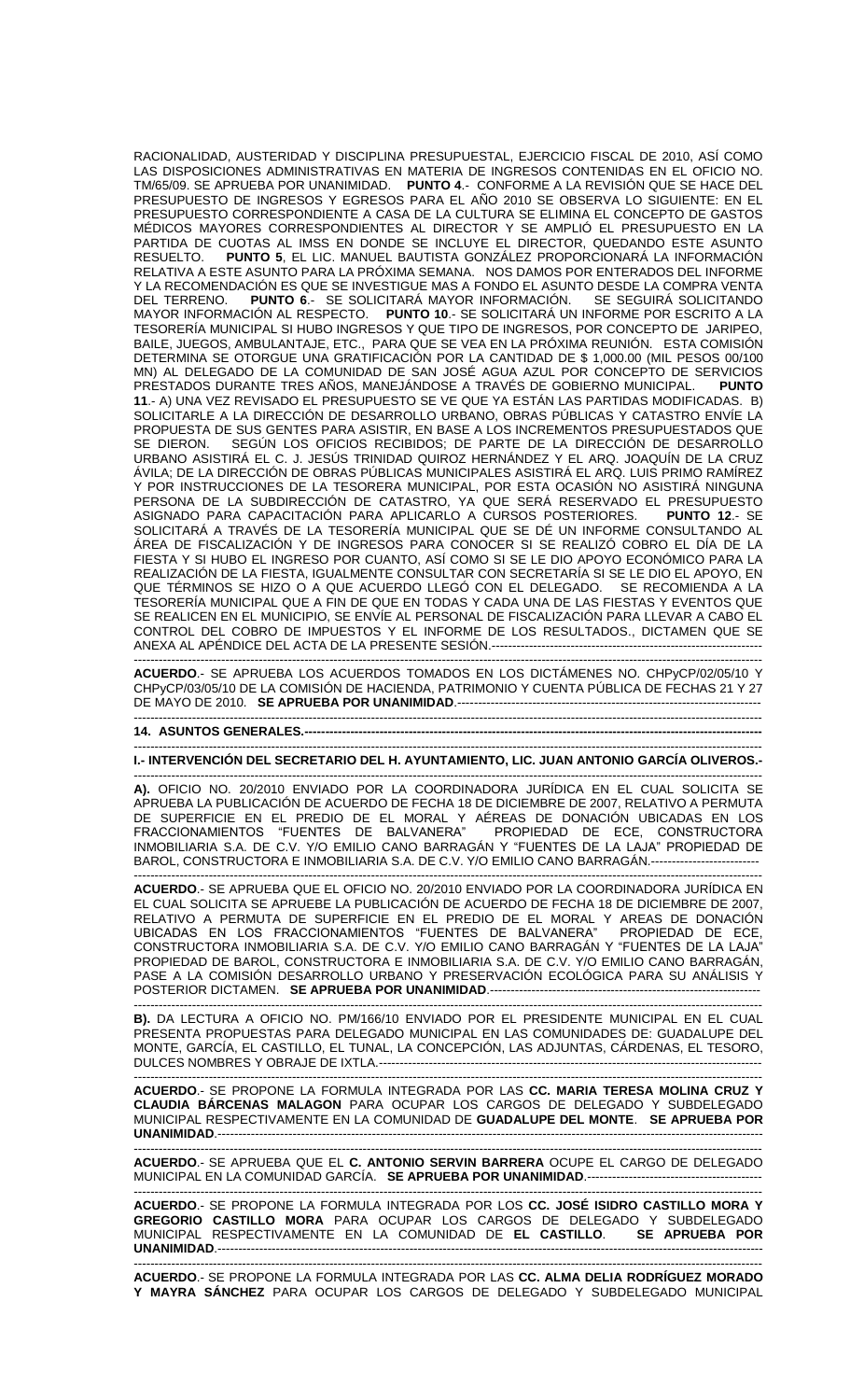RACIONALIDAD, AUSTERIDAD Y DISCIPLINA PRESUPUESTAL, EJERCICIO FISCAL DE 2010, ASÍ COMO LAS DISPOSICIONES ADMINISTRATIVAS EN MATERIA DE INGRESOS CONTENIDAS EN EL OFICIO NO. TM/65/09. SE APRUEBA POR UNANIMIDAD. **PUNTO 4**.- CONFORME A LA REVISIÓN QUE SE HACE DEL PRESUPUESTO DE INGRESOS Y EGRESOS PARA EL AÑO 2010 SE OBSERVA LO SIGUIENTE: EN EL PRESUPUESTO CORRESPONDIENTE A CASA DE LA CULTURA SE ELIMINA EL CONCEPTO DE GASTOS MÉDICOS MAYORES CORRESPONDIENTES AL DIRECTOR Y SE AMPLIÓ EL PRESUPUESTO EN LA PARTIDA DE CUOTAS AL IMSS EN DONDE SE INCLUYE EL DIRECTOR, QUEDANDO ESTE ASUNTO RESUELTO. **PUNTO 5**, EL LIC. MANUEL BAUTISTA GONZÁLEZ PROPORCIONARÁ LA INFORMACIÓN RELATIVA A ESTE ASUNTO PARA LA PRÓXIMA SEMANA. NOS DAMOS POR ENTERADOS DEL INFORME Y LA RECOMENDACIÓN ES QUE SE INVESTIGUE MAS A FONDO EL ASUNTO DESDE LA COMPRA VENTA<br>DEL TERRENO. 2000 **PUNTO 6.** - SE SOLICITARÁ MAYOR INFORMACIÓN. SE SEGUIRÁ SOLICITANDO PUNTO 6.- SE SOLICITARÁ MAYOR INFORMACIÓN. MAYOR INFORMACIÓN AL RESPECTO. **PUNTO 10**.- SE SOLICITARÁ UN INFORME POR ESCRITO A LA TESORERÍA MUNICIPAL SI HUBO INGRESOS Y QUE TIPO DE INGRESOS, POR CONCEPTO DE JARIPEO, BAILE, JUEGOS, AMBULANTAJE, ETC., PARA QUE SE VEA EN LA PRÓXIMA REUNIÓN. ESTA COMISIÓN DETERMINA SE OTORGUE UNA GRATIFICACIÓN POR LA CANTIDAD DE \$ 1,000.00 (MIL PESOS 00/100 MN) AL DELEGADO DE LA COMUNIDAD DE SAN JOSÉ AGUA AZUL POR CONCEPTO DE SERVICIOS<br>PRESTADOS DURANTE TRES AÑOS, MANEJÁNDOSE A TRAVÉS DE GOBIERNO MUNICIPAL. PUNTO PRESTADOS DURANTE TRES AÑOS, MANEJÁNDOSE A TRAVÉS DE GOBIERNO MUNICIPAL. **11**.- A) UNA VEZ REVISADO EL PRESUPUESTO SE VE QUE YA ESTÁN LAS PARTIDAS MODIFICADAS. B) SOLICITARLE A LA DIRECCIÓN DE DESARROLLO URBANO, OBRAS PÚBLICAS Y CATASTRO ENVÍE LA PROPUESTA DE SUS GENTES PARA ASISTIR, EN BASE A LOS INCREMENTOS PRESUPUESTADOS QUE SEGÚN LOS OFICIOS RECIBIDOS; DE PARTE DE LA DIRECCIÓN DE DESARROLLO URBANO ASISTIRÁ EL C. J. JESÚS TRINIDAD QUIROZ HERNÁNDEZ Y EL ARQ. JOAQUÍN DE LA CRUZ ÁVILA; DE LA DIRECCIÓN DE OBRAS PÚBLICAS MUNICIPALES ASISTIRÁ EL ARQ. LUIS PRIMO RAMÍREZ Y POR INSTRUCCIONES DE LA TESORERA MUNICIPAL, POR ESTA OCASIÓN NO ASISTIRÁ NINGUNA PERSONA DE LA SUBDIRECCIÓN DE CATASTRO, YA QUE SERÁ RESERVADO EL PRESUPUESTO ASIGNADO PARA CAPACITACIÓN PARA APLICARLO A CURSOS POSTERIORES. **PUNTO 12**.- SE SOLICITARÁ A TRAVÉS DE LA TESORERÍA MUNICIPAL QUE SE DÉ UN INFORME CONSULTANDO AL ÁREA DE FISCALIZACIÓN Y DE INGRESOS PARA CONOCER SI SE REALIZÓ COBRO EL DÍA DE LA FIESTA Y SI HUBO EL INGRESO POR CUANTO, ASÍ COMO SI SE LE DIO APOYO ECONÓMICO PARA LA REALIZACIÓN DE LA FIESTA, IGUALMENTE CONSULTAR CON SECRETARÍA SI SE LE DIO EL APOYO, EN QUE TÉRMINOS SE HIZO O A QUE ACUERDO LLEGÓ CON EL DELEGADO. SE RECOMIENDA A LA TESORERÍA MUNICIPAL QUE A FIN DE QUE EN TODAS Y CADA UNA DE LAS FIESTAS Y EVENTOS QUE SE REALICEN EN EL MUNICIPIO, SE ENVÍE AL PERSONAL DE FISCALIZACIÓN PARA LLEVAR A CABO EL CONTROL DEL COBRO DE IMPUESTOS Y EL INFORME DE LOS RESULTADOS., DICTAMEN QUE SE ANEXA AL APÉNDICE DEL ACTA DE LA PRESENTE SESIÓN.-----------------------------------------------------------------

------------------------------------------------------------------------------------------------------------------------------------------------------- **ACUERDO**.- SE APRUEBA LOS ACUERDOS TOMADOS EN LOS DICTÁMENES NO. CHPyCP/02/05/10 Y CHPyCP/03/05/10 DE LA COMISIÓN DE HACIENDA, PATRIMONIO Y CUENTA PÚBLICA DE FECHAS 21 Y 27 DE MAYO DE 2010. **SE APRUEBA POR UNANIMIDAD**.------------------------------------------------------------------------- -------------------------------------------------------------------------------------------------------------------------------------------------------

## **14. ASUNTOS GENERALES.----**

------------------------------------------------------------------------------------------------------------------------------------------------------- **I.- INTERVENCIÓN DEL SECRETARIO DEL H. AYUNTAMIENTO, LIC. JUAN ANTONIO GARCÍA OLIVEROS.-**

------------------------------------------------------------------------------------------------------------------------------------------------------- **A).** OFICIO NO. 20/2010 ENVIADO POR LA COORDINADORA JURÍDICA EN EL CUAL SOLICITA SE APRUEBA LA PUBLICACIÓN DE ACUERDO DE FECHA 18 DE DICIEMBRE DE 2007, RELATIVO A PERMUTA DE SUPERFICIE EN EL PREDIO DE EL MORAL Y AÉREAS DE DONACIÓN UBICADAS EN LOS FRACCIONAMIENTOS "FUENTES DE BALVANERA" PROPIEDAD DE ECE, CONSTRUCTORA INMOBILIARIA S.A. DE C.V. Y/O EMILIO CANO BARRAGÁN Y "FUENTES DE LA LAJA" PROPIEDAD DE BAROL, CONSTRUCTORA E INMOBILIARIA S.A. DE C.V. Y/O EMILIO CANO BARRAGÁN.-------------------------

------------------------------------------------------------------------------------------------------------------------------------------------------- **ACUERDO**.- SE APRUEBA QUE EL OFICIO NO. 20/2010 ENVIADO POR LA COORDINADORA JURÍDICA EN EL CUAL SOLICITA SE APRUEBE LA PUBLICACIÓN DE ACUERDO DE FECHA 18 DE DICIEMBRE DE 2007, RELATIVO A PERMUTA DE SUPERFICIE EN EL PREDIO DE EL MORAL Y AREAS DE DONACIÓN UBICADAS EN LOS FRACCIONAMIENTOS "FUENTES DE BALVANERA" PROPIEDAD DE ECE, CONSTRUCTORA INMOBILIARIA S.A. DE C.V. Y/O EMILIO CANO BARRAGÁN Y "FUENTES DE LA LAJA" PROPIEDAD DE BAROL, CONSTRUCTORA E INMOBILIARIA S.A. DE C.V. Y/O EMILIO CANO BARRAGÁN, PASE A LA COMISIÓN DESARROLLO URBANO Y PRESERVACIÓN ECOLÓGICA PARA SU ANÁLISIS Y POSTERIOR DICTAMEN. **SE APRUEBA POR UNANIMIDAD**.-----------------------------------------------------------------

------------------------------------------------------------------------------------------------------------------------------------------------------- **B).** DA LECTURA A OFICIO NO. PM/166/10 ENVIADO POR EL PRESIDENTE MUNICIPAL EN EL CUAL PRESENTA PROPUESTAS PARA DELEGADO MUNICIPAL EN LAS COMUNIDADES DE: GUADALUPE DEL MONTE, GARCÍA, EL CASTILLO, EL TUNAL, LA CONCEPCIÓN, LAS ADJUNTAS, CÁRDENAS, EL TESORO, DULCES NOMBRES Y OBRAJE DE IXTLA.----------------------------

------------------------------------------------------------------------------------------------------------------------------------------------------- **ACUERDO**.- SE PROPONE LA FORMULA INTEGRADA POR LAS **CC. MARIA TERESA MOLINA CRUZ Y CLAUDIA BÁRCENAS MALAGON** PARA OCUPAR LOS CARGOS DE DELEGADO Y SUBDELEGADO MUNICIPAL RESPECTIVAMENTE EN LA COMUNIDAD DE **GUADALUPE DEL MONTE**. **SE APRUEBA POR UNANIMIDAD.----**

------------------------------------------------------------------------------------------------------------------------------------------------------- **ACUERDO**.- SE APRUEBA QUE EL **C. ANTONIO SERVIN BARRERA** OCUPE EL CARGO DE DELEGADO MUNICIPAL EN LA COMUNIDAD GARCÍA. **SE APRUEBA POR UNANIMIDAD**.------------------------------------------ -------------------------------------------------------------------------------------------------------------------------------------------------------

**ACUERDO**.- SE PROPONE LA FORMULA INTEGRADA POR LOS **CC. JOSÉ ISIDRO CASTILLO MORA Y GREGORIO CASTILLO MORA** PARA OCUPAR LOS CARGOS DE DELEGADO Y SUBDELEGADO MUNICIPAL RESPECTIVAMENTE EN LA COMUNIDAD DE **EL CASTILLO**. **SE APRUEBA POR UNANIMIDAD**.-----------------------------------------------------------------------------------------------------------------------------------

------------------------------------------------------------------------------------------------------------------------------------------------------- **ACUERDO**.- SE PROPONE LA FORMULA INTEGRADA POR LAS **CC. ALMA DELIA RODRÍGUEZ MORADO Y MAYRA SÁNCHEZ** PARA OCUPAR LOS CARGOS DE DELEGADO Y SUBDELEGADO MUNICIPAL